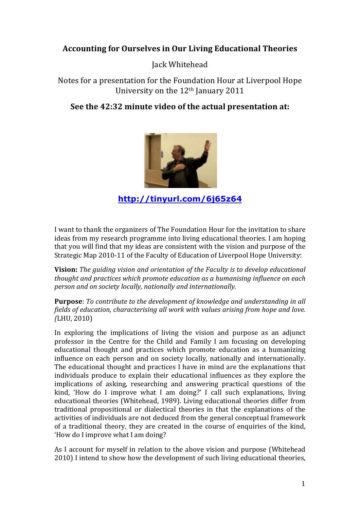# **Accounting for Ourselves in Our Living Educational Theories**

Jack Whitehead

Notes for a presentation for the Foundation Hour at Liverpool Hope University on the 12<sup>th</sup> January 2011

# See the 42:32 minute video of the actual presentation at:



http://tinyurl.com/6j65z64

I want to thank the organizers of The Foundation Hour for the invitation to share ideas from my research programme into living educational theories. I am hoping that you will find that my ideas are consistent with the vision and purpose of the Strategic Map 2010-11 of the Faculty of Education of Liverpool Hope University:

Vision: The quiding vision and orientation of the Faculty is to develop educational thought and practices which promote education as a humanising influence on each person and on society locally, nationally and internationally.

**Purpose:** To contribute to the development of knowledge and understanding in all fields of education, characterising all work with values arising from hope and love. (LHU, 2010)

In exploring the implications of living the vision and purpose as an adjunct professor in the Centre for the Child and Family I am focusing on developing educational thought and practices which promote education as a humanizing influence on each person and on society locally, nationally and internationally. The educational thought and practices I have in mind are the explanations that individuals produce to explain their educational influences as they explore the implications of asking, researching and answering practical questions of the kind, 'How do I improve what I am doing?' I call such explanations, living educational theories (Whitehead, 1989). Living educational theories differ from traditional propositional or dialectical theories in that the explanations of the activities of individuals are not deduced from the general conceptual framework of a traditional theory, they are created in the course of enquiries of the kind, 'How do I improve what I am doing?

As I account for myself in relation to the above vision and purpose (Whitehead 2010) I intend to show how the development of such living educational theories,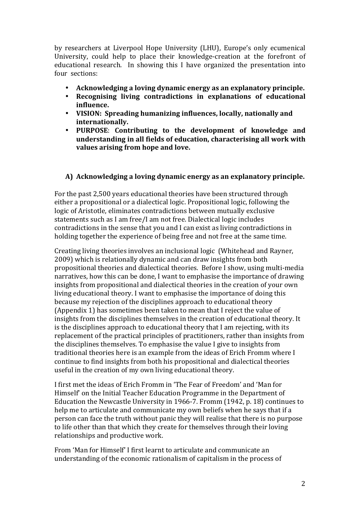by researchers at Liverpool Hope University (LHU), Europe's only ecumenical University, could help to place their knowledge-creation at the forefront of educational research. In showing this I have organized the presentation into four sections:

- Acknowledging a loving dynamic energy as an explanatory principle.
- **Recognising) living) contradictions) in) explanations) of) educational) influence.**
- **VISION: Spreading humanizing influences, locally, nationally and internationally.**
- **PURPOSE:** Contributing to the development of knowledge and **understanding)in)all)fields)of)education,)characterising)all)work)with) values)arising)from)hope)and)love.**

## **A) Acknowledging)a)loving)dynamic)energy)as)an)explanatory)principle.**

For the past 2,500 years educational theories have been structured through either a propositional or a dialectical logic. Propositional logic, following the logic of Aristotle, eliminates contradictions between mutually exclusive statements such as I am free/I am not free. Dialectical logic includes contradictions in the sense that you and I can exist as living contradictions in holding together the experience of being free and not free at the same time.

Creating living theories involves an inclusional logic (Whitehead and Rayner, 2009) which is relationally dynamic and can draw insights from both propositional theories and dialectical theories. Before I show, using multi-media narratives, how this can be done, I want to emphasise the importance of drawing insights from propositional and dialectical theories in the creation of your own living educational theory. I want to emphasise the importance of doing this because my rejection of the disciplines approach to educational theory (Appendix 1) has sometimes been taken to mean that I reject the value of insights from the disciplines themselves in the creation of educational theory. It is the disciplines approach to educational theory that I am rejecting, with its replacement of the practical principles of practitioners, rather than insights from the disciplines themselves. To emphasise the value I give to insights from traditional theories here is an example from the ideas of Erich Fromm where I continue to find insights from both his propositional and dialectical theories useful in the creation of my own living educational theory.

I first met the ideas of Erich Fromm in 'The Fear of Freedom' and 'Man for Himself' on the Initial Teacher Education Programme in the Department of Education the Newcastle University in 1966-7. Fromm (1942, p. 18) continues to help me to articulate and communicate my own beliefs when he says that if a person can face the truth without panic they will realise that there is no purpose to life other than that which they create for themselves through their loving relationships and productive work.

From 'Man for Himself' I first learnt to articulate and communicate an understanding of the economic rationalism of capitalism in the process of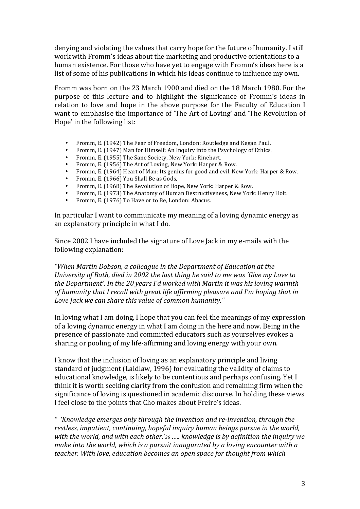denying and violating the values that carry hope for the future of humanity. I still work with Fromm's ideas about the marketing and productive orientations to a human existence. For those who have yet to engage with Fromm's ideas here is a list of some of his publications in which his ideas continue to influence my own.

Fromm was born on the 23 March 1900 and died on the 18 March 1980. For the purpose of this lecture and to highlight the significance of Fromm's ideas in relation to love and hope in the above purpose for the Faculty of Education I want to emphasise the importance of 'The Art of Loving' and 'The Revolution of Hope' in the following list:

- Fromm, E. (1942) The Fear of Freedom, London: Routledge and Kegan Paul.
- Fromm, E. (1947) Man for Himself: An Inquiry into the Psychology of Ethics.
- Fromm, E. (1955) The Sane Society, New York: Rinehart.
- Fromm, E. (1956) The Art of Loving, New York: Harper & Row.<br>Fromm, E. (1964) Hoart of Man; Its gonius for good and ovil. No.
- Fromm, E. (1964) Heart of Man: Its genius for good and evil. New York: Harper & Row.
- Fromm, E. (1966) You Shall Be as Gods,
- Fromm, E. (1968) The Revolution of Hope, New York: Harper & Row.
- Fromm, E. (1973) The Anatomy of Human Destructiveness, New York: Henry Holt.
- Fromm, E. (1976) To Have or to Be, London: Abacus.

In particular I want to communicate my meaning of a loving dynamic energy as an explanatory principle in what I do.

Since 2002 I have included the signature of Love Jack in my e-mails with the following explanation:

*"When\$Martin\$Dobson,\$a\$colleague\$in\$the\$Department\$of\$Education at\$the\$ University of Bath, died in 2002 the last thing he said to me was 'Give my Love to the Department'. In the 20 years I'd worked with Martin it was his loving warmth of humanity that I recall with great life affirming pleasure and I'm hoping that in* Love Jack we can share this value of common humanity."

In loving what I am doing, I hope that you can feel the meanings of my expression of a loving dynamic energy in what I am doing in the here and now. Being in the presence of passionate and committed educators such as yourselves evokes a sharing or pooling of my life-affirming and loving energy with your own.

I know that the inclusion of loving as an explanatory principle and living standard of judgment (Laidlaw, 1996) for evaluating the validity of claims to educational knowledge, is likely to be contentious and perhaps confusing. Yet I think it is worth seeking clarity from the confusion and remaining firm when the significance of loving is questioned in academic discourse. In holding these views I feel close to the points that Cho makes about Freire's ideas.

<sup>"</sup> 'Knowledge emerges only through the invention and re-invention, through the restless, impatient, continuing, hopeful inquiry human beings pursue in the world, with the world, and with each other.'<sub>36</sub> *.....* knowledge is by definition the inquiry we *make into the world, which is a pursuit inaugurated by a loving encounter with a teacher. With love, education becomes an open space for thought from which*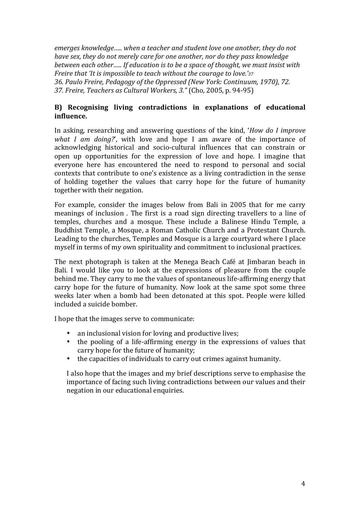emerges knowledge..... when a teacher and student love one another, they do not have sex, they do not merely care for one another, nor do they pass knowledge between each other..... If education is to be a space of thought, we must insist with Freire that 'It is impossible to teach without the courage to love.'37 36. Paulo Freire, Pedagogy of the Oppressed (New York: Continuum, 1970), 72. 37. Freire, Teachers as Cultural Workers, 3." (Cho, 2005, p. 94-95)

### B) Recognising living contradictions in explanations of educational influence.

In asking, researching and answering questions of the kind, 'How do I improve what I am doing?', with love and hope I am aware of the importance of acknowledging historical and socio-cultural influences that can constrain or open up opportunities for the expression of love and hope. I imagine that everyone here has encountered the need to respond to personal and social contexts that contribute to one's existence as a living contradiction in the sense of holding together the values that carry hope for the future of humanity together with their negation.

For example, consider the images below from Bali in 2005 that for me carry meanings of inclusion. The first is a road sign directing travellers to a line of temples, churches and a mosque. These include a Balinese Hindu Temple, a Buddhist Temple, a Mosque, a Roman Catholic Church and a Protestant Church. Leading to the churches, Temples and Mosque is a large courty and where I place myself in terms of my own spirituality and commitment to inclusional practices.

The next photograph is taken at the Menega Beach Café at Jimbaran beach in Bali. I would like you to look at the expressions of pleasure from the couple behind me. They carry to me the values of spontaneous life-affirming energy that carry hope for the future of humanity. Now look at the same spot some three weeks later when a bomb had been detonated at this spot. People were killed included a suicide bomber.

I hope that the images serve to communicate:

- an inclusional vision for loving and productive lives;
- the pooling of a life-affirming energy in the expressions of values that  $\bullet$ carry hope for the future of humanity:
- the capacities of individuals to carry out crimes against humanity.  $\bullet$

I also hope that the images and my brief descriptions serve to emphasise the importance of facing such living contradictions between our values and their negation in our educational enquiries.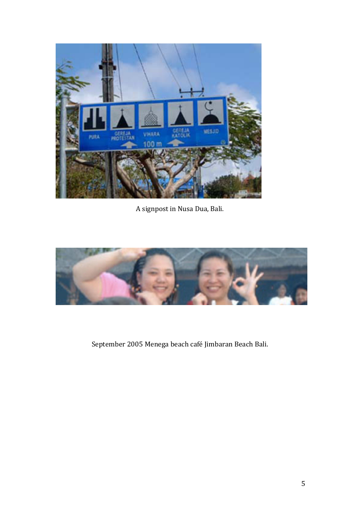

A signpost in Nusa Dua, Bali.



September 2005 Menega beach café Jimbaran Beach Bali.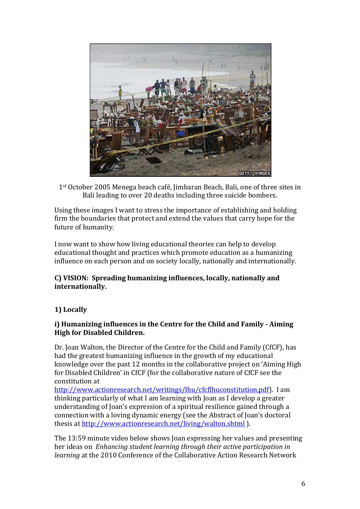

1<sup>st</sup> October 2005 Menega beach café, Jimbaran Beach, Bali, one of three sites in Bali leading to over 20 deaths including three suicide bombers.

Using these images I want to stress the importance of establishing and holding firm the boundaries that protect and extend the values that carry hope for the future of humanity.

I now want to show how living educational theories can help to develop educational thought and practices which promote education as a humanizing influence on each person and on society locally, nationally and internationally.

#### **C))VISION:) Spreading)humanizing)influences,)locally,)nationally)and) internationally.**

## **1))Locally)**

### **i) Humanizing influences in the Centre for the Child and Family - Aiming High for Disabled Children.**

Dr. Joan Walton, the Director of the Centre for the Child and Family (CfCF), has had the greatest humanizing influence in the growth of my educational knowledge over the past 12 months in the collaborative project on 'Aiming High for Disabled Children' in CfCF (for the collaborative nature of CfCF see the constitution at

http://www.actionresearch.net/writings/lhu/cfcflhuconstitution.pdf). I am thinking particularly of what I am learning with Joan as I develop a greater understanding of Joan's expression of a spiritual resilience gained through a connection with a loving dynamic energy (see the Abstract of Joan's doctoral thesis at http://www.actionresearch.net/living/walton.shtml ).

The 13:59 minute video below shows Joan expressing her values and presenting her ideas on *Enhancing student learning through their active participation in learning* at the 2010 Conference of the Collaborative Action Research Network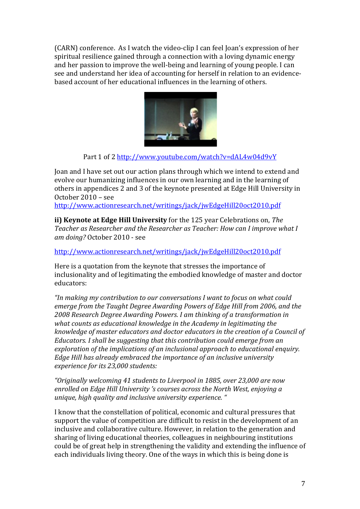(CARN) conference. As I watch the video-clip I can feel Joan's expression of her spiritual resilience gained through a connection with a loving dynamic energy and her passion to improve the well-being and learning of young people. I can see and understand her idea of accounting for herself in relation to an evidencebased account of her educational influences in the learning of others.



Part 1 of 2 http://www.youtube.com/watch?v=dAL4w04d9vY

Joan and I have set out our action plans through which we intend to extend and evolve our humanizing influences in our own learning and in the learning of others in appendices 2 and 3 of the keynote presented at Edge Hill University in October 2010 - see

http://www.actionresearch.net/writings/jack/iwEdgeHill20oct2010.pdf

ii) Keynote at Edge Hill University for the 125 year Celebrations on, The Teacher as Researcher and the Researcher as Teacher: How can I improve what I am doing? October 2010 - see

http://www.actionresearch.net/writings/jack/jwEdgeHill20oct2010.pdf

Here is a quotation from the keynote that stresses the importance of inclusionality and of legitimating the embodied knowledge of master and doctor educators:

"In making my contribution to our conversations I want to focus on what could emerge from the Taught Degree Awarding Powers of Edge Hill from 2006, and the 2008 Research Degree Awarding Powers. I am thinking of a transformation in what counts as educational knowledge in the Academy in legitimating the knowledge of master educators and doctor educators in the creation of a Council of Educators. I shall be suggesting that this contribution could emerge from an exploration of the implications of an inclusional approach to educational enquiry. Edge Hill has already embraced the importance of an inclusive university experience for its 23,000 students:

"Originally welcoming 41 students to Liverpool in 1885, over 23,000 are now enrolled on Edge Hill University 's courses across the North West, enjoving a unique, high quality and inclusive university experience. "

I know that the constellation of political, economic and cultural pressures that support the value of competition are difficult to resist in the development of an inclusive and collaborative culture. However, in relation to the generation and sharing of living educational theories, colleagues in neighbouring institutions could be of great help in strengthening the validity and extending the influence of each individuals living theory. One of the ways in which this is being done is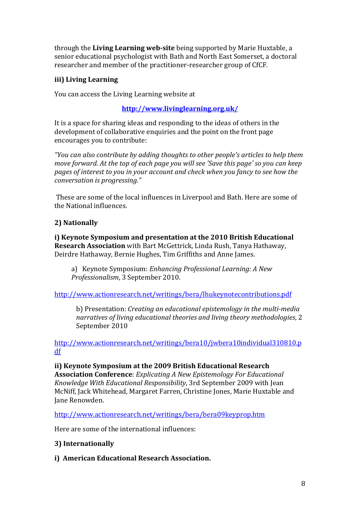through the Living Learning web-site being supported by Marie Huxtable, a senior educational psychologist with Bath and North East Somerset, a doctoral researcher and member of the practitioner-researcher group of CfCF.

## iii) Living Learning

You can access the Living Learning website at

## http://www.livinglearning.org.uk/

It is a space for sharing ideas and responding to the ideas of others in the development of collaborative enquiries and the point on the front page encourages you to contribute:

"You can also contribute by adding thoughts to other people's articles to help them move forward. At the top of each page you will see 'Save this page' so you can keep pages of interest to you in your account and check when you fancy to see how the conversation is progressing."

These are some of the local influences in Liverpool and Bath. Here are some of the National influences

## 2) Nationally

i) Keynote Symposium and presentation at the 2010 British Educational Research Association with Bart McGettrick, Linda Rush, Tanya Hathaway, Deirdre Hathaway, Bernie Hughes, Tim Griffiths and Anne James.

a) Keynote Symposium: Enhancing Professional Learning: A New Professionalism, 3 September 2010.

http://www.actionresearch.net/writings/bera/lhukeynotecontributions.pdf

b) Presentation: Creating an educational epistemology in the multi-media narratives of living educational theories and living theory methodologies, 2 September 2010

http://www.actionresearch.net/writings/bera10/jwbera10individual310810.p  $df$ 

ii) Keynote Symposium at the 2009 British Educational Research **Association Conference:** Explicating A New Epistemology For Educational Knowledge With Educational Responsibility, 3rd September 2009 with Jean McNiff, Jack Whitehead, Margaret Farren, Christine Jones, Marie Huxtable and Jane Renowden.

http://www.actionresearch.net/writings/bera/bera09keyprop.htm

Here are some of the international influences:

#### 3) Internationally

i) American Educational Research Association.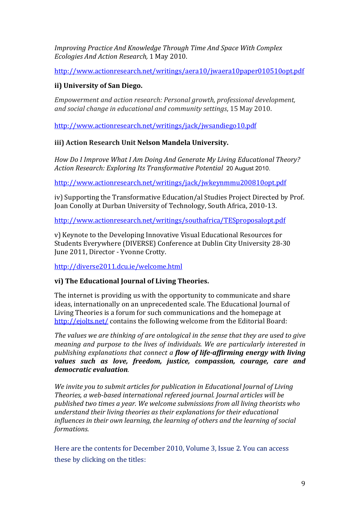Improving Practice And Knowledge Through Time And Space With Complex Ecologies And Action Research, 1 May 2010.

http://www.actionresearch.net/writings/aera10/jwaera10paper010510opt.pdf

## ii) University of San Diego.

Empowerment and action research: Personal growth, professional development, and social change in educational and community settings, 15 May 2010.

http://www.actionresearch.net/writings/jack/jwsandiego10.pdf

## iii) Action Research Unit Nelson Mandela University.

How Do I Improve What I Am Doing And Generate My Living Educational Theory? Action Research: Exploring Its Transformative Potential 20 August 2010.

http://www.actionresearch.net/writings/jack/jwkeynmmu200810opt.pdf

iv) Supporting the Transformative Education/al Studies Project Directed by Prof. Joan Conolly at Durban University of Technology, South Africa, 2010-13.

http://www.actionresearch.net/writings/southafrica/TESproposalopt.pdf

v) Keynote to the Developing Innovative Visual Educational Resources for Students Everywhere (DIVERSE) Conference at Dublin City University 28-30 June 2011, Director - Yvonne Crotty.

http://diverse2011.dcu.ie/welcome.html

## vi) The Educational Journal of Living Theories.

The internet is providing us with the opportunity to communicate and share ideas, internationally on an unprecedented scale. The Educational Journal of Living Theories is a forum for such communications and the homepage at http://ejolts.net/contains the following welcome from the Editorial Board:

The values we are thinking of are ontological in the sense that they are used to aive meaning and purpose to the lives of individuals. We are particularly interested in publishing explanations that connect a flow of life-affirming energy with living values such as love, freedom, justice, compassion, courage, care and democratic evaluation.

We invite you to submit articles for publication in Educational Journal of Living Theories, a web-based international refereed journal. Journal articles will be published two times a year. We welcome submissions from all living theorists who understand their living theories as their explanations for their educational influences in their own learning, the learning of others and the learning of social formations.

Here are the contents for December 2010, Volume 3, Issue 2. You can access these by clicking on the titles: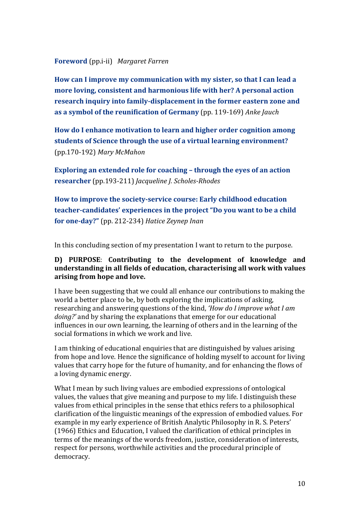#### **Foreword** (pp.i-ii) Margaret Farren

How can I improve my communication with my sister, so that I can lead a more loving, consistent and harmonious life with her? A personal action research inquiry into family-displacement in the former eastern zone and as a symbol of the reunification of Germany (pp. 119-169) Anke Jauch

How do I enhance motivation to learn and higher order cognition among students of Science through the use of a virtual learning environment? (pp.170-192) Mary McMahon

Exploring an extended role for coaching - through the eyes of an action researcher (pp.193-211) Jacqueline J. Scholes-Rhodes

How to improve the society-service course: Early childhood education teacher-candidates' experiences in the project "Do you want to be a child for one-day?" (pp. 212-234) Hatice Zeynep Inan

In this concluding section of my presentation I want to return to the purpose.

#### D) PURPOSE: Contributing to the development of knowledge and understanding in all fields of education, characterising all work with values arising from hope and love.

I have been suggesting that we could all enhance our contributions to making the world a better place to be, by both exploring the implications of asking, researching and answering questions of the kind. 'How do I improve what I am *doing?'* and by sharing the explanations that emerge for our educational influences in our own learning, the learning of others and in the learning of the social formations in which we work and live.

I am thinking of educational enquiries that are distinguished by values arising from hope and love. Hence the significance of holding myself to account for living values that carry hope for the future of humanity, and for enhancing the flows of a loving dynamic energy.

What I mean by such living values are embodied expressions of ontological values, the values that give meaning and purpose to my life. I distinguish these values from ethical principles in the sense that ethics refers to a philosophical clarification of the linguistic meanings of the expression of embodied values. For example in my early experience of British Analytic Philosophy in R. S. Peters' (1966) Ethics and Education, I valued the clarification of ethical principles in terms of the meanings of the words freedom, justice, consideration of interests, respect for persons, worthwhile activities and the procedural principle of democracy.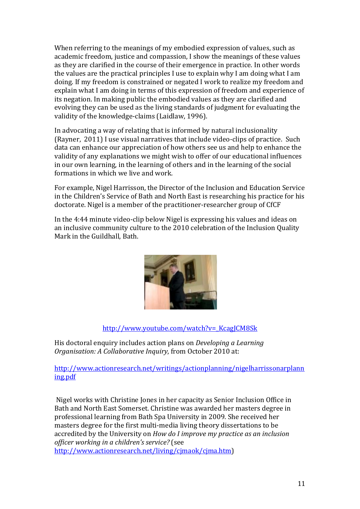When referring to the meanings of my embodied expression of values, such as academic freedom, justice and compassion, I show the meanings of these values as they are clarified in the course of their emergence in practice. In other words the values are the practical principles I use to explain why I am doing what I am doing. If my freedom is constrained or negated I work to realize my freedom and explain what I am doing in terms of this expression of freedom and experience of its negation. In making public the embodied values as they are clarified and evolving they can be used as the living standards of judgment for evaluating the validity of the knowledge-claims (Laidlaw, 1996).

In advocating a way of relating that is informed by natural inclusionality (Rayner, 2011) I use visual narratives that include video-clips of practice. Such data can enhance our appreciation of how others see us and help to enhance the validity of any explanations we might wish to offer of our educational influences in our own learning, in the learning of others and in the learning of the social formations in which we live and work.

For example, Nigel Harrisson, the Director of the Inclusion and Education Service in the Children's Service of Bath and North East is researching his practice for his doctorate. Nigel is a member of the practitioner-researcher group of CfCF

In the 4:44 minute video-clip below Nigel is expressing his values and ideas on an inclusive community culture to the 2010 celebration of the Inclusion Quality Mark in the Guildhall, Bath.



## http://www.youtube.com/watch?v=\_KcagJCM8Sk

His doctoral enquiry includes action plans on *Developing a Learning Organisation: A Collaborative Inquiry, from October 2010 at:* 

http://www.actionresearch.net/writings/actionplanning/nigelharrissonarplann ing.pdf

Nigel works with Christine Jones in her capacity as Senior Inclusion Office in Bath and North East Somerset. Christine was awarded her masters degree in professional learning from Bath Spa University in 2009. She received her masters degree for the first multi-media living theory dissertations to be accredited by the University on *How do I improve my practice as an inclusion officer working in a children's service?* (see http://www.actionresearch.net/living/cjmaok/cjma.htm)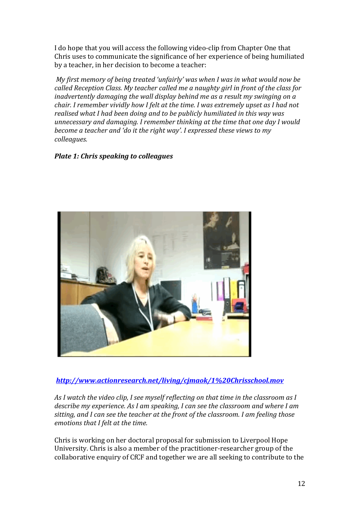I do hope that you will access the following video-clip from Chapter One that Chris uses to communicate the significance of her experience of being humiliated by a teacher, in her decision to become a teacher:

*My first memory of being treated 'unfairly' was when I was in what would now be called Reception Class. My teacher called me a naughty girl in front of the class for inadvertently damaging the wall display behind me as a result my swinging on a chair. I remember vividly how I felt at the time. I was extremely upset as I had not* realised what I had been doing and to be publicly humiliated in this way was *unnecessary and damaging. I remember thinking at the time that one day I would become a teacher and 'do it the right way'. I expressed these views to my colleagues.*

#### *Plate 1: Chris speaking to colleagues*



#### *http://www.actionresearch.net/living/cjmaok/1%20Chrisschool.mov*

As I watch the video clip, I see myself reflecting on that time in the classroom as I describe my experience. As I am speaking, I can see the classroom and where I am sitting, and I can see the teacher at the front of the classroom. I am feeling those *emotions that I felt at the time.* 

Chris is working on her doctoral proposal for submission to Liverpool Hope University. Chris is also a member of the practitioner-researcher group of the collaborative enquiry of CfCF and together we are all seeking to contribute to the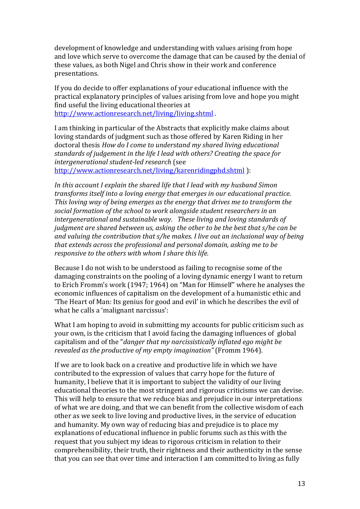development of knowledge and understanding with values arising from hope and love which serve to overcome the damage that can be caused by the denial of these values, as both Nigel and Chris show in their work and conference presentations.

If you do decide to offer explanations of your educational influence with the practical explanatory principles of values arising from love and hope you might find useful the living educational theories at http://www.actionresearch.net/living/living.shtml

I am thinking in particular of the Abstracts that explicitly make claims about loving standards of judgment such as those offered by Karen Riding in her doctoral thesis How do I come to understand my shared living educational standards of judgement in the life I lead with others? Creating the space for intergenerational student-led research (see http://www.actionresearch.net/living/karenridingphd.shtml):

In this account I explain the shared life that I lead with my husband Simon transforms itself into a loving energy that emerges in our educational practice. This loving way of being emerges as the energy that drives me to transform the social formation of the school to work alongside student researchers in an intergenerational and sustainable way. These living and loving standards of judgment are shared between us, asking the other to be the best that s/he can be and valuing the contribution that s/he makes. I live out an inclusional way of being that extends across the professional and personal domain, asking me to be responsive to the others with whom I share this life.

Because I do not wish to be understood as failing to recognise some of the damaging constraints on the pooling of a loving dynamic energy I want to return to Erich Fromm's work (1947; 1964) on "Man for Himself" where he analyses the economic influences of capitalism on the development of a humanistic ethic and 'The Heart of Man: Its genius for good and evil' in which he describes the evil of what he calls a 'malignant narcissus':

What I am hoping to avoid in submitting my accounts for public criticism such as your own, is the criticism that I avoid facing the damaging influences of global capitalism and of the "danger that my narcissistically inflated ego might be revealed as the productive of my empty imagination" (Fromm 1964).

If we are to look back on a creative and productive life in which we have contributed to the expression of values that carry hope for the future of humanity. I believe that it is important to subject the validity of our living educational theories to the most stringent and rigorous criticisms we can devise. This will help to ensure that we reduce bias and prejudice in our interpretations of what we are doing, and that we can benefit from the collective wisdom of each other as we seek to live loving and productive lives, in the service of education and humanity. My own way of reducing bias and prejudice is to place my explanations of educational influence in public forums such as this with the request that you subject my ideas to rigorous criticism in relation to their comprehensibility, their truth, their rightness and their authenticity in the sense that you can see that over time and interaction I am committed to living as fully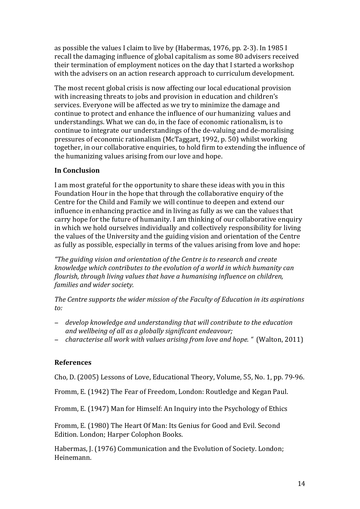as possible the values I claim to live by (Habermas, 1976, pp. 2-3). In 1985 I recall the damaging influence of global capitalism as some 80 advisers received their termination of employment notices on the day that I started a workshop with the advisers on an action research approach to curriculum development.

The most recent global crisis is now affecting our local educational provision with increasing threats to jobs and provision in education and children's services. Everyone will be affected as we try to minimize the damage and continue to protect and enhance the influence of our humanizing values and understandings. What we can do, in the face of economic rationalism, is to continue to integrate our understandings of the de-valuing and de-moralising pressures of economic rationalism (McTaggart, 1992, p. 50) whilst working together, in our collaborative enquiries, to hold firm to extending the influence of the humanizing values arising from our love and hope.

## **In)Conclusion**

I am most grateful for the opportunity to share these ideas with you in this Foundation Hour in the hope that through the collaborative enquiry of the Centre for the Child and Family we will continue to deepen and extend our influence in enhancing practice and in living as fully as we can the values that carry hope for the future of humanity. I am thinking of our collaborative enquiry in which we hold ourselves individually and collectively responsibility for living the values of the University and the guiding vision and orientation of the Centre as fully as possible, especially in terms of the values arising from love and hope:

*"The\$guiding\$vision\$and\$orientation\$of\$the\$Centre\$is\$to\$research\$and\$create\$ knowledge which contributes to the evolution of a world in which humanity can flourish, through\$living\$values\$that\$have\$a\$humanising\$influence\$on\$children,\$ families and wider society.* 

The Centre supports the wider mission of the Faculty of Education in its aspirations *to:*

- − *develop\$knowledge\$and\$understanding\$that\$will\$contribute\$to\$the\$education\$* and wellbeing of all as a globally significant endeavour;
- − *characterise all work with values arising from love and hope.* " (Walton, 2011)

#### **References**

Cho, D. (2005) Lessons of Love, Educational Theory, Volume, 55, No. 1, pp. 79-96.

Fromm, E. (1942) The Fear of Freedom, London: Routledge and Kegan Paul.

Fromm, E. (1947) Man for Himself: An Inquiry into the Psychology of Ethics

Fromm, E. (1980) The Heart Of Man: Its Genius for Good and Evil. Second Edition. London; Harper Colophon Books.

Habermas, J. (1976) Communication and the Evolution of Society. London; Heinemann.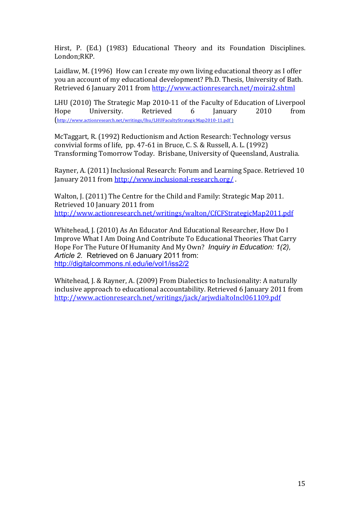Hirst, P. (Ed.) (1983) Educational Theory and its Foundation Disciplines. London;RKP.

Laidlaw, M. (1996) How can I create my own living educational theory as I offer you an account of my educational development? Ph.D. Thesis, University of Bath. Retrieved 6 January 2011 from http://www.actionresearch.net/moira2.shtml

LHU (2010) The Strategic Map 2010-11 of the Faculty of Education of Liverpool Hope University. Retrieved 6 January 2010 from [http://www.actionresearch.net/writings/lhu/LHUFacultyStrategicMap2010-11.pdf]

McTaggart, R. (1992) Reductionism and Action Research: Technology versus convivial forms of life,  $pp. 47-61$  in Bruce, C. S. & Russell, A. L. (1992) Transforming Tomorrow Today. Brisbane, University of Queensland, Australia.

Rayner, A. (2011) Inclusional Research: Forum and Learning Space. Retrieved 10 January 2011 from http://www.inclusional-research.org/.

Walton, J. (2011) The Centre for the Child and Family: Strategic Map 2011. Retrieved 10 January 2011 from http://www.actionresearch.net/writings/walton/CfCFStrategicMap2011.pdf

Whitehead, J. (2010) As An Educator And Educational Researcher, How Do I Improve What I Am Doing And Contribute To Educational Theories That Carry Hope For The Future Of Humanity And My Own? *Inquiry in Education: 1(2), Article 2.* Retrieved on 6 January 2011 from: http://digitalcommons.nl.edu/ie/vol1/iss2/2

Whitehead, J. & Rayner, A. (2009) From Dialectics to Inclusionality: A naturally inclusive approach to educational accountability. Retrieved 6 January 2011 from http://www.actionresearch.net/writings/jack/arjwdialtoIncl061109.pdf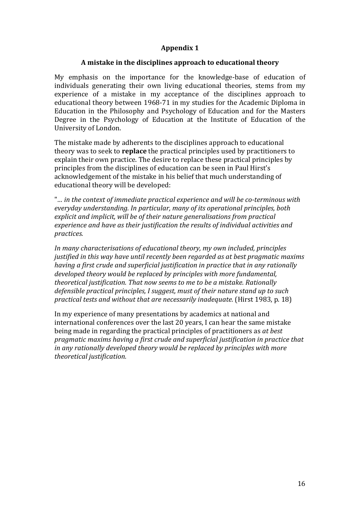### **Appendix 1**

#### A mistake in the disciplines approach to educational theory

My emphasis on the importance for the knowledge-base of education of individuals generating their own living educational theories, stems from my experience of a mistake in my acceptance of the disciplines approach to educational theory between 1968-71 in my studies for the Academic Diploma in Education in the Philosophy and Psychology of Education and for the Masters Degree in the Psychology of Education at the Institute of Education of the University of London.

The mistake made by adherents to the disciplines approach to educational theory was to seek to **replace** the practical principles used by practitioners to explain their own practice. The desire to replace these practical principles by principles from the disciplines of education can be seen in Paul Hirst's acknowledgement of the mistake in his belief that much understanding of educational theory will be developed:

"... in the context of immediate practical experience and will be co-terminous with everyday understanding. In particular, many of its operational principles, both explicit and implicit, will be of their nature generalisations from practical experience and have as their justification the results of individual activities and practices.

In many characterisations of educational theory, my own included, principles justified in this way have until recently been regarded as at best pragmatic maxims having a first crude and superficial justification in practice that in any rationally developed theory would be replaced by principles with more fundamental, theoretical justification. That now seems to me to be a mistake. Rationally defensible practical principles, I suggest, must of their nature stand up to such practical tests and without that are necessarily inadequate. (Hirst 1983, p. 18)

In my experience of many presentations by academics at national and international conferences over the last 20 years. I can hear the same mistake being made in regarding the practical principles of practitioners as at best pragmatic maxims having a first crude and superficial justification in practice that in any rationally developed theory would be replaced by principles with more theoretical justification.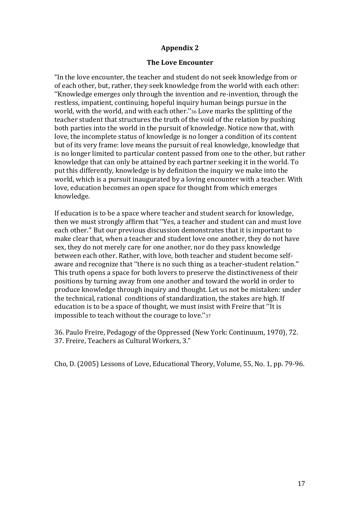### **Appendix)2**

#### **The Love Encounter**

"In the love encounter, the teacher and student do not seek knowledge from or of each other, but, rather, they seek knowledge from the world with each other: "Knowledge emerges only through the invention and re-invention, through the restless, impatient, continuing, hopeful inquiry human beings pursue in the world, with the world, and with each other."36 Love marks the splitting of the teacher student that structures the truth of the void of the relation by pushing both parties into the world in the pursuit of knowledge. Notice now that, with love, the incomplete status of knowledge is no longer a condition of its content but of its very frame: love means the pursuit of real knowledge, knowledge that is no longer limited to particular content passed from one to the other, but rather knowledge that can only be attained by each partner seeking it in the world. To put this differently, knowledge is by definition the inquiry we make into the world, which is a pursuit inaugurated by a loving encounter with a teacher. With love, education becomes an open space for thought from which emerges knowledge.

If education is to be a space where teacher and student search for knowledge, then we must strongly affirm that "Yes, a teacher and student can and must love each other." But our previous discussion demonstrates that it is important to make clear that, when a teacher and student love one another, they do not have sex, they do not merely care for one another, nor do they pass knowledge between each other. Rather, with love, both teacher and student become selfaware and recognize that "there is no such thing as a teacher-student relation." This truth opens a space for both lovers to preserve the distinctiveness of their positions by turning away from one another and toward the world in order to produce knowledge through inquiry and thought. Let us not be mistaken: under the technical, rational conditions of standardization, the stakes are high. If education is to be a space of thought, we must insist with Freire that "It is impossible to teach without the courage to love."37

36. Paulo Freire, Pedagogy of the Oppressed (New York: Continuum, 1970), 72. 37. Freire, Teachers as Cultural Workers, 3."

Cho, D. (2005) Lessons of Love, Educational Theory, Volume, 55, No. 1, pp. 79-96.